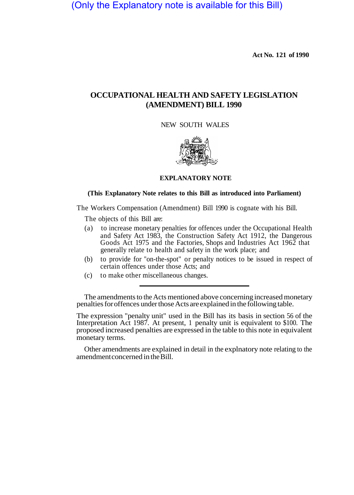(Only the Explanatory note is available for this Bill)

**Act No. 1 21 of 1990** 

## **OCCUPATIONAL HEALTH AND SAFETY LEGISLATION (AMENDMENT) BILL 1990**

NEW SOUTH WALES



#### **EXPLANATORY NOTE**

#### **(This Explanatory Note relates to this Bill as introduced into Parliament)**

The Workers Compensation (Amendment) Bill 1990 is cognate with his Bill.

The objects of this Bill are:

- (a) to increase monetary penalties for offences under the Occupational Health and Safety Act 1983, the Construction Safety Act 1912, the Dangerous Goods Act 1975 and the Factories, Shops and Industries Act 1962 that generally relate to health and safety in the work place; and
- (b) to provide for "on-the-spot" or penalty notices to be issued in respect of certain offences under those Acts; and
- (c) to make other miscellaneous changes.

The amendments to the Acts mentioned above concerning increased monetary penalties for offences under those Acts are explained in the following table.

The expression "penalty unit" used in the Bill has its basis in section 56 of the Interpretation Act 1987. At present, 1 penalty unit is equivalent to \$100. The proposed increased penalties are expressed in the table to this note in equivalent monetary terms.

Other amendments are explained in detail in the explnatory note relating to the amendment concerned in the Bill.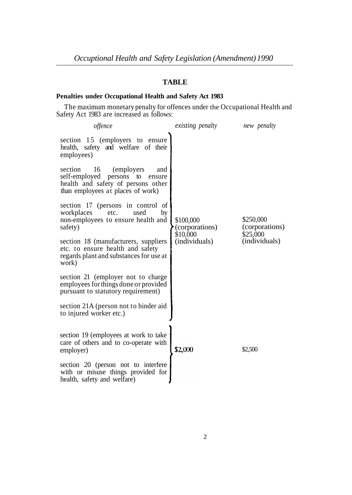## **TABLE**

# **Penalties under Occupational Health and Safety Act 1983**

Safety Act 1983 are increased as follows: The maximum monetary penalty for offences under the Occupational Health and

| offence                                                                                                                                                 | existing penalty                                         | new penalty                                              |
|---------------------------------------------------------------------------------------------------------------------------------------------------------|----------------------------------------------------------|----------------------------------------------------------|
| section 15 (employers to ensure<br>health, safety and welfare of their<br>employees)                                                                    |                                                          |                                                          |
| section<br>16<br>(employers)<br>and<br>self-employed<br>persons to<br>ensure<br>health and safety of persons other<br>than employees at places of work) |                                                          |                                                          |
| section 17 (persons in control of<br>workplaces<br>etc.<br>used<br>by<br>non-employees to ensure health and<br>safety)                                  | \$100,000<br>(corporations)<br>\$10,000<br>(individuals) | \$250,000<br>(corporations)<br>\$25,000<br>(individuals) |
| section 18 (manufacturers, suppliers<br>etc. to ensure health and safety<br>regards plant and substances for use at<br>work)                            |                                                          |                                                          |
| section 21 (employer not to charge<br>employees for things done or provided<br>pursuant to statutory requirement)                                       |                                                          |                                                          |
| section 21A (person not to hinder aid<br>to injured worker etc.)                                                                                        |                                                          |                                                          |
| section 19 (employees at work to take<br>care of others and to co-operate with<br>employer)                                                             | \$2,000                                                  | \$2,500                                                  |
| section 20 (person not to interfere<br>with or misuse things provided for<br>health, safety and welfare)                                                |                                                          |                                                          |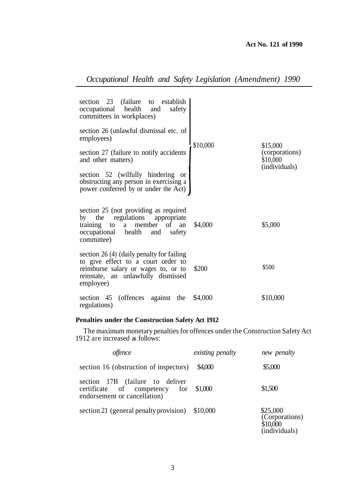## **Act No. 121 of 1990**

| section 23 (failure to establish<br>occupational health and<br>safety<br>committees in workplaces)<br>section 26 (unlawful dismissal etc. of<br>employees)<br>\$10,000<br>section 27 (failure to notify accidents<br>and other matters)<br>section 52 (wilfully hindering<br><sub>or</sub><br>obstructing any person in exercising a<br>power conferred by or under the Act) | \$15,000<br>(corporations)<br>\$10,000<br>(individuals) |
|------------------------------------------------------------------------------------------------------------------------------------------------------------------------------------------------------------------------------------------------------------------------------------------------------------------------------------------------------------------------------|---------------------------------------------------------|
| section 25 (not providing as required<br>by the regulations appropriate<br>training to a member of<br>\$4,000<br>an<br>occupational health and safety<br>committee)                                                                                                                                                                                                          | \$5,000                                                 |
| section 26 (4) (daily penalty for failing<br>to give effect to a court order to<br>reimburse salary or wages to, or to<br>\$200<br>reinstate, an unlawfully dismissed<br>employee)                                                                                                                                                                                           | \$500                                                   |
| section 45 (offences against the<br>\$4,000<br>regulations)                                                                                                                                                                                                                                                                                                                  | \$10,000                                                |

# *Occupational Health and Safety Legislation (Amendment) 1990*

## **Penalties under the Construction Safety Act 1912**

1912 are increased as follows: The maximum monetary penalties for offences under the Construction Safety Act

| <i>offence</i>                                                                                           | existing penalty | new penalty                                             |
|----------------------------------------------------------------------------------------------------------|------------------|---------------------------------------------------------|
| section 16 (obstruction of inspectors)                                                                   | \$4,000          | \$5,000                                                 |
| section 17B (failure to deliver<br>certificate of competency for \$1,000<br>endorsement or cancellation) |                  | \$1,500                                                 |
| section 21 (general penalty provision)                                                                   | \$10,000         | \$25,000<br>(Corporations)<br>\$10,000<br>(individuals) |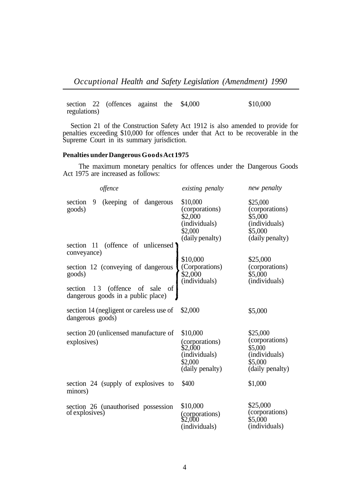section 22 (offences against the \$4,000 regulations) \$10,000

Section 21 of the Construction Safety Act 1912 is also amended to provide for penalties exceeding \$10,000 for offences under that Act to be recoverable in the Supreme Court in its summary jurisdiction.

### **Penalties under Dangerous Goods Act 1975**

The maximum monetary penaltics for offences under the Dangerous Goods Act 1975 are increased as follows:

| offence                                                                              | existing penalty                                                                     | new penalty                                                                          |
|--------------------------------------------------------------------------------------|--------------------------------------------------------------------------------------|--------------------------------------------------------------------------------------|
| section<br>9<br>(keeping of dangerous<br>goods)                                      | \$10,000<br>(corporations)<br>\$2,000<br>(individuals)<br>\$2,000<br>(daily penalty) | \$25,000<br>(corporations)<br>\$5,000<br>(individuals)<br>\$5,000<br>(daily penalty) |
| section 11 (offence of unlicensed)<br>conveyance)                                    |                                                                                      |                                                                                      |
| section 12 (conveying of dangerous<br>goods)<br>of<br>13 (offence of sale<br>section | \$10,000<br>(Corporations)<br>\$2,000<br>(individuals)                               | \$25,000<br>(corporations)<br>\$5,000<br>(individuals)                               |
| dangerous goods in a public place)                                                   |                                                                                      |                                                                                      |
| section 14 (negligent or careless use of<br>dangerous goods)                         | \$2,000                                                                              | \$5,000                                                                              |
| section 20 (unlicensed manufacture of<br>explosives)                                 | \$10,000<br>(corporations)<br>\$2,000<br>(individuals)<br>\$2,000<br>(daily penalty) | \$25,000<br>(corporations)<br>\$5,000<br>(individuals)<br>\$5,000<br>(daily penalty) |
| section 24 (supply of explosives to<br>minors)                                       | \$400                                                                                | \$1,000                                                                              |
| section 26 (unauthorised possession<br>of explosives)                                | \$10,000<br>(corporations)<br>\$2,000<br>(individuals)                               | \$25,000<br>(corporations)<br>\$5,000<br>(individuals)                               |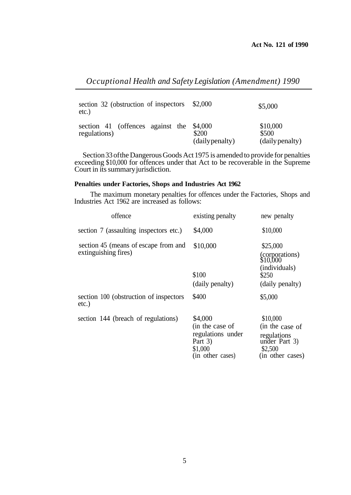*Occuptional Health and Safety Legislation (Amendment) 1990* 

| section 32 (obstruction of inspectors)<br>$etc.$ )       | \$2,000                  | \$5,000                              |
|----------------------------------------------------------|--------------------------|--------------------------------------|
| section 41 (offences against the \$4,000<br>regulations) | \$200<br>(daily penalty) | \$10,000<br>\$500<br>(daily penalty) |

Section 33 of the Dangerous Goods Act 1975 is amended to provide for penalties exceeding \$10,000 for offences under that Act to be recoverable in the Supreme Court in its summary jurisdiction.

### **Penalties under Factories, Shops and Industries Act 1962**

Industries Act 1962 are increased as follows: The maximum monetary penalties for offences under the Factories, Shops and

| offence                                                      | existing penalty                                                                            | new penalty                                                                                |
|--------------------------------------------------------------|---------------------------------------------------------------------------------------------|--------------------------------------------------------------------------------------------|
| section 7 (assaulting inspectors etc.)                       | \$4,000                                                                                     | \$10,000                                                                                   |
| section 45 (means of escape from and<br>extinguishing fires) | \$10,000<br>\$100                                                                           | \$25,000<br>(corporations)<br>\$10,000<br>(individuals)<br>\$250                           |
|                                                              | (daily penalty)                                                                             | (daily penalty)                                                                            |
| section 100 (obstruction of inspectors)<br>$etc.$ )          | \$400                                                                                       | \$5,000                                                                                    |
| section 144 (breach of regulations)                          | \$4,000<br>(in the case of<br>regulations under<br>Part $3)$<br>\$1,000<br>(in other cases) | \$10,000<br>(in the case of<br>regulations<br>under Part 3)<br>\$2,500<br>(in other cases) |